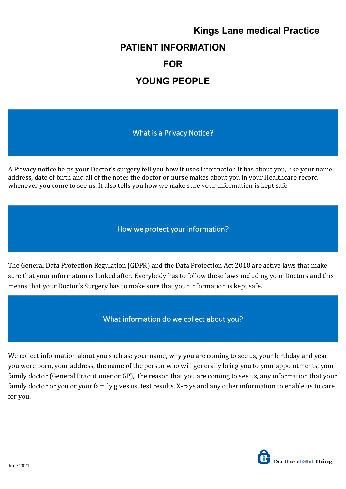## **Kings Lane medical Practice PATIENT INFORMATION FOR YOUNG PEOPLE**

What is a Privacy Notice?

A Privacy notice helps your Doctor's surgery tell you how it uses information it has about you, like your name, address, date of birth and all of the notes the doctor or nurse makes about you in your Healthcare record whenever you come to see us. It also tells you how we make sure your information is kept safe

How we protect your information?

The General Data Protection Regulation (GDPR) and the Data Protection Act 2018 are active laws that make sure that your information is looked after. Everybody has to follow these laws including your Doctors and this means that your Doctor's Surgery has to make sure that your information is kept safe.

What information do we collect about you?

We collect information about you such as: your name, why you are coming to see us, your birthday and year you were born, your address, the name of the person who will generally bring you to your appointments, your family doctor (General Practitioner or GP), the reason that you are coming to see us, any information that your family doctor or you or your family gives us, test results, X-rays and any other information to enable us to care for you.

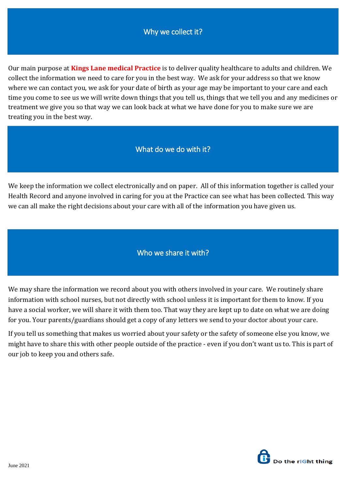## Why we collect it?

Our main purpose at **Kings Lane medical Practice** is to deliver quality healthcare to adults and children. We collect the information we need to care for you in the best way. We ask for your address so that we know where we can contact you, we ask for your date of birth as your age may be important to your care and each time you come to see us we will write down things that you tell us, things that we tell you and any medicines or treatment we give you so that way we can look back at what we have done for you to make sure we are treating you in the best way.

What do we do with it?

We keep the information we collect electronically and on paper. All of this information together is called your Health Record and anyone involved in caring for you at the Practice can see what has been collected. This way we can all make the right decisions about your care with all of the information you have given us.

Who we share it with?

We may share the information we record about you with others involved in your care. We routinely share information with school nurses, but not directly with school unless it is important for them to know. If you have a social worker, we will share it with them too. That way they are kept up to date on what we are doing for you. Your parents/guardians should get a copy of any letters we send to your doctor about your care.

If you tell us something that makes us worried about your safety or the safety of someone else you know, we might have to share this with other people outside of the practice - even if you don't want us to. This is part of our job to keep you and others safe.

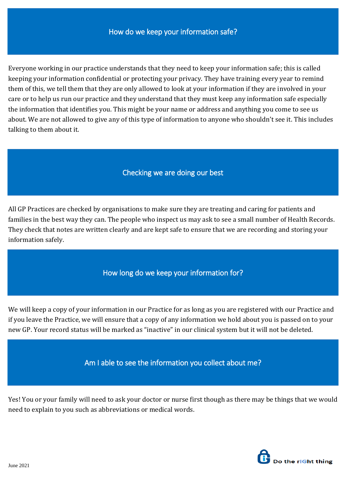Everyone working in our practice understands that they need to keep your information safe; this is called keeping your information confidential or protecting your privacy. They have training every year to remind them of this, we tell them that they are only allowed to look at your information if they are involved in your care or to help us run our practice and they understand that they must keep any information safe especially the information that identifies you. This might be your name or address and anything you come to see us about. We are not allowed to give any of this type of information to anyone who shouldn't see it. This includes talking to them about it.

## Checking we are doing our best

All GP Practices are checked by organisations to make sure they are treating and caring for patients and families in the best way they can. The people who inspect us may ask to see a small number of Health Records. They check that notes are written clearly and are kept safe to ensure that we are recording and storing your information safely.

How long do we keep your information for?

We will keep a copy of your information in our Practice for as long as you are registered with our Practice and if you leave the Practice, we will ensure that a copy of any information we hold about you is passed on to your new GP. Your record status will be marked as "inactive" in our clinical system but it will not be deleted.

Am I able to see the information you collect about me?

Yes! You or your family will need to ask your doctor or nurse first though as there may be things that we would need to explain to you such as abbreviations or medical words.